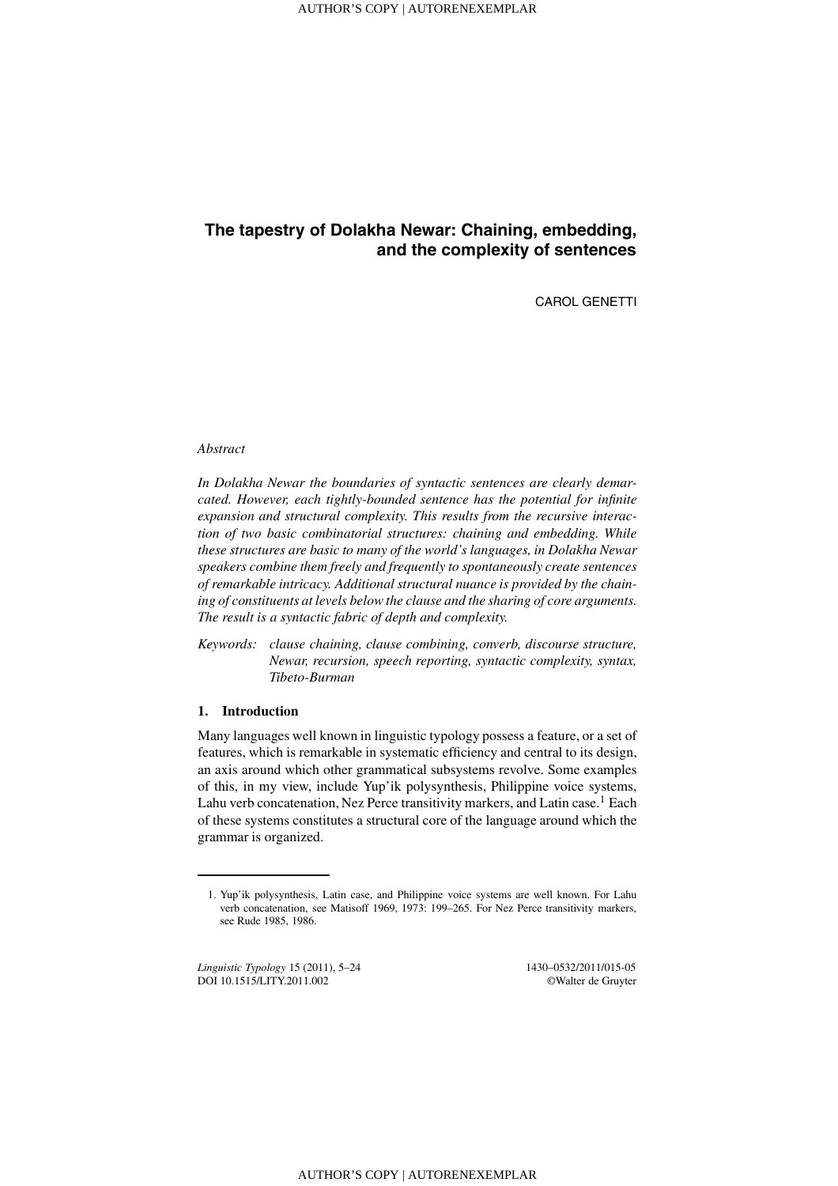# **The tapestry of Dolakha Newar: Chaining, embedding, and the complexity of sentences**

CAROL GENETTI

#### *Abstract*

*In Dolakha Newar the boundaries of syntactic sentences are clearly demarcated. However, each tightly-bounded sentence has the potential for infinite expansion and structural complexity. This results from the recursive interaction of two basic combinatorial structures: chaining and embedding. While these structures are basic to many of the world's languages, in Dolakha Newar speakers combine them freely and frequently to spontaneously create sentences of remarkable intricacy. Additional structural nuance is provided by the chaining of constituents at levels below the clause and the sharing of core arguments. The result is a syntactic fabric of depth and complexity.*

*Keywords: clause chaining, clause combining, converb, discourse structure, Newar, recursion, speech reporting, syntactic complexity, syntax, Tibeto-Burman*

## **1. Introduction**

Many languages well known in linguistic typology possess a feature, or a set of features, which is remarkable in systematic efficiency and central to its design, an axis around which other grammatical subsystems revolve. Some examples of this, in my view, include Yup'ik polysynthesis, Philippine voice systems, Lahu verb concatenation, Nez Perce transitivity markers, and Latin case.<sup>1</sup> Each of these systems constitutes a structural core of the language around which the grammar is organized.

*Linguistic Typology* 15 (2011), 5[–24](#page-18-0) 1430–0532/2011/015-05<br>DOI 10.1515/LITY.2011.002 **COV** eValter de Gruvter  $D$ OI 10.1515/LITY.2011.002

<sup>1.</sup> Yup'ik polysynthesis, Latin case, and Philippine voice systems are well known. For Lahu verb concatenation, see Matisoff 1969, 1973: 199–265. For Nez Perce transitivity markers, see Rude 1985, 1986.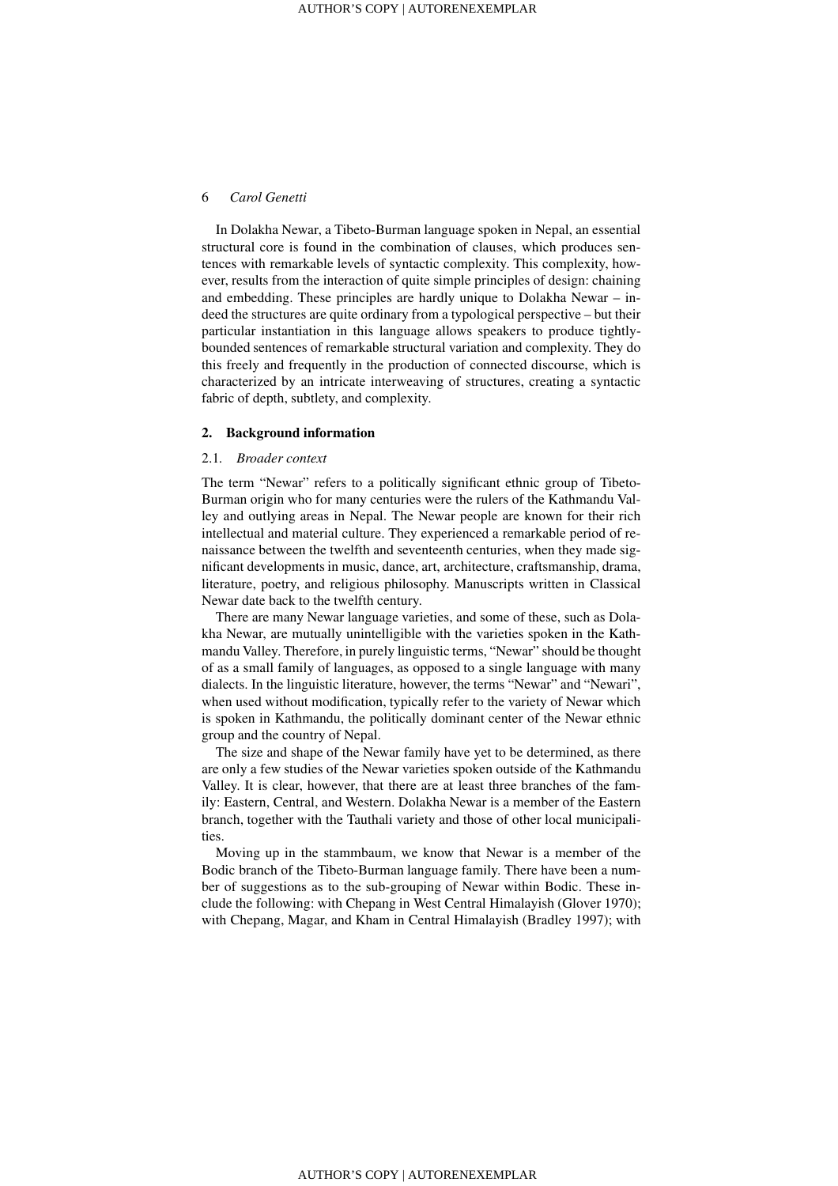In Dolakha Newar, a Tibeto-Burman language spoken in Nepal, an essential structural core is found in the combination of clauses, which produces sentences with remarkable levels of syntactic complexity. This complexity, however, results from the interaction of quite simple principles of design: chaining and embedding. These principles are hardly unique to Dolakha Newar – indeed the structures are quite ordinary from a typological perspective – but their particular instantiation in this language allows speakers to produce tightlybounded sentences of remarkable structural variation and complexity. They do this freely and frequently in the production of connected discourse, which is characterized by an intricate interweaving of structures, creating a syntactic fabric of depth, subtlety, and complexity.

#### **2. Background information**

# 2.1*. Broader context*

The term "Newar" refers to a politically significant ethnic group of Tibeto-Burman origin who for many centuries were the rulers of the Kathmandu Valley and outlying areas in Nepal. The Newar people are known for their rich intellectual and material culture. They experienced a remarkable period of renaissance between the twelfth and seventeenth centuries, when they made significant developments in music, dance, art, architecture, craftsmanship, drama, literature, poetry, and religious philosophy. Manuscripts written in Classical Newar date back to the twelfth century.

There are many Newar language varieties, and some of these, such as Dolakha Newar, are mutually unintelligible with the varieties spoken in the Kathmandu Valley. Therefore, in purely linguistic terms, "Newar" should be thought of as a small family of languages, as opposed to a single language with many dialects. In the linguistic literature, however, the terms "Newar" and "Newari", when used without modification, typically refer to the variety of Newar which is spoken in Kathmandu, the politically dominant center of the Newar ethnic group and the country of Nepal.

The size and shape of the Newar family have yet to be determined, as there are only a few studies of the Newar varieties spoken outside of the Kathmandu Valley. It is clear, however, that there are at least three branches of the family: Eastern, Central, and Western. Dolakha Newar is a member of the Eastern branch, together with the Tauthali variety and those of other local municipalities.

Moving up in the stammbaum, we know that Newar is a member of the Bodic branch of the Tibeto-Burman language family. There have been a number of suggestions as to the sub-grouping of Newar within Bodic. These include the following: with Chepang in West Central Himalayish (Glover 1970); with Chepang, Magar, and Kham in Central Himalayish (Bradley 1997); with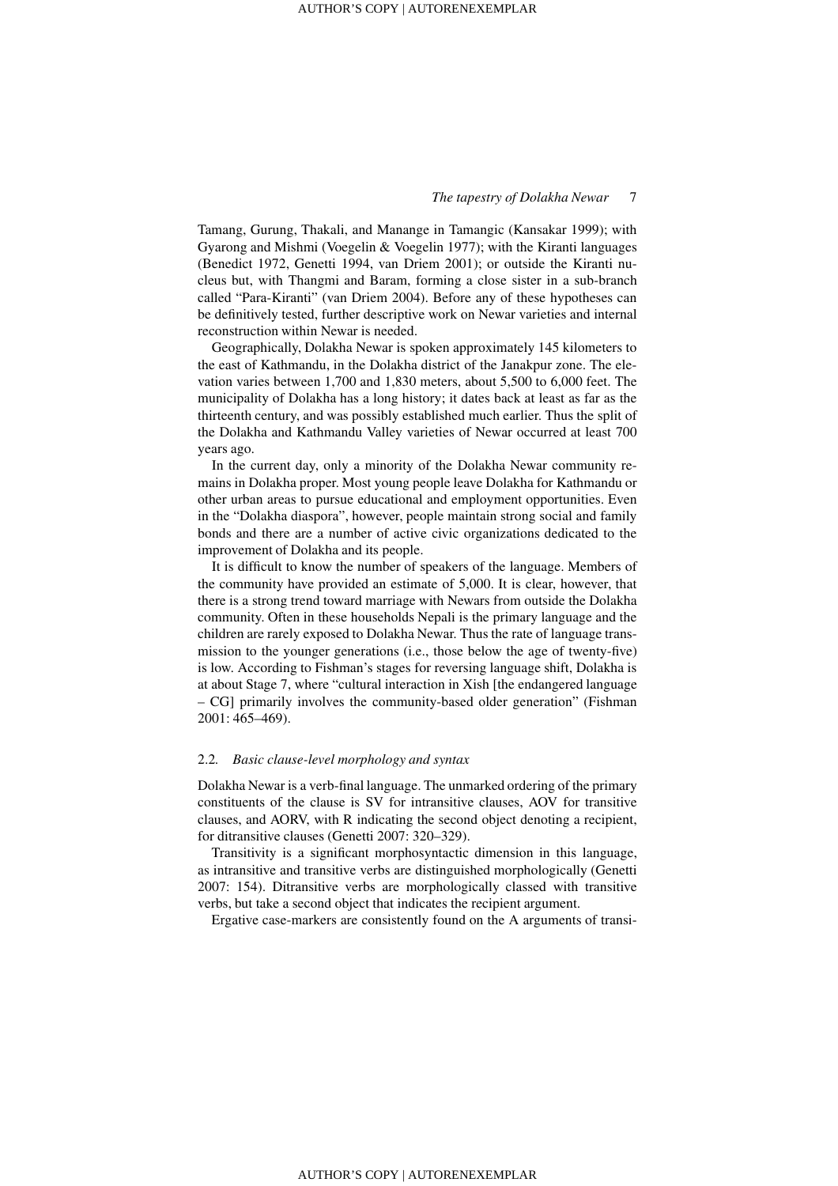Tamang, Gurung, Thakali, and Manange in Tamangic (Kansakar 1999); with Gyarong and Mishmi (Voegelin & Voegelin 1977); with the Kiranti languages (Benedict 1972, Genetti 1994, van Driem 2001); or outside the Kiranti nucleus but, with Thangmi and Baram, forming a close sister in a sub-branch called "Para-Kiranti" (van Driem 2004). Before any of these hypotheses can be definitively tested, further descriptive work on Newar varieties and internal reconstruction within Newar is needed.

Geographically, Dolakha Newar is spoken approximately 145 kilometers to the east of Kathmandu, in the Dolakha district of the Janakpur zone. The elevation varies between 1,700 and 1,830 meters, about 5,500 to 6,000 feet. The municipality of Dolakha has a long history; it dates back at least as far as the thirteenth century, and was possibly established much earlier. Thus the split of the Dolakha and Kathmandu Valley varieties of Newar occurred at least 700 years ago.

In the current day, only a minority of the Dolakha Newar community remains in Dolakha proper. Most young people leave Dolakha for Kathmandu or other urban areas to pursue educational and employment opportunities. Even in the "Dolakha diaspora", however, people maintain strong social and family bonds and there are a number of active civic organizations dedicated to the improvement of Dolakha and its people.

It is difficult to know the number of speakers of the language. Members of the community have provided an estimate of 5,000. It is clear, however, that there is a strong trend toward marriage with Newars from outside the Dolakha community. Often in these households Nepali is the primary language and the children are rarely exposed to Dolakha Newar. Thus the rate of language transmission to the younger generations (i.e., those below the age of twenty-five) is low. According to Fishman's stages for reversing language shift, Dolakha is at about Stage 7, where "cultural interaction in Xish [the endangered language – CG] primarily involves the community-based older generation" (Fishman 2001: 465–469).

### 2.2*. Basic clause-level morphology and syntax*

Dolakha Newar is a verb-final language. The unmarked ordering of the primary constituents of the clause is SV for intransitive clauses, AOV for transitive clauses, and AORV, with R indicating the second object denoting a recipient, for ditransitive clauses (Genetti 2007: 320–329).

Transitivity is a significant morphosyntactic dimension in this language, as intransitive and transitive verbs are distinguished morphologically (Genetti 2007: 154). Ditransitive verbs are morphologically classed with transitive verbs, but take a second object that indicates the recipient argument.

Ergative case-markers are consistently found on the A arguments of transi-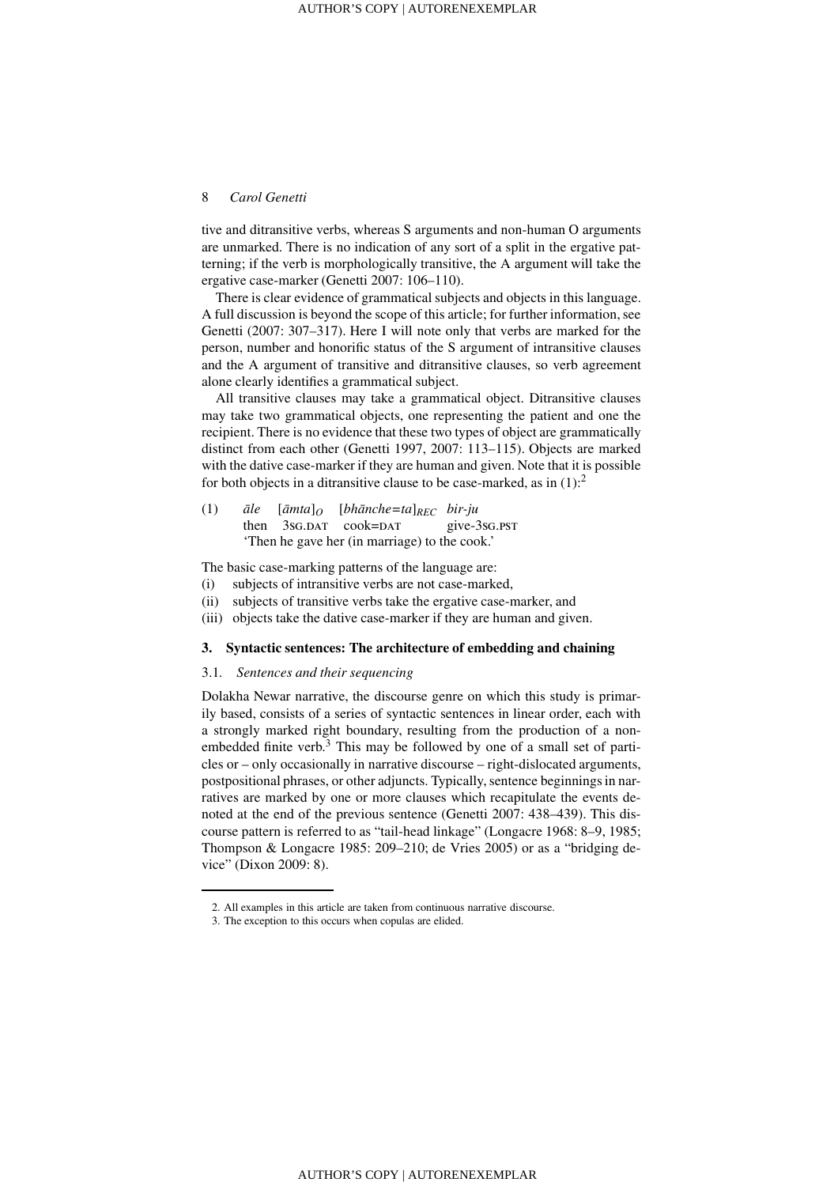tive and ditransitive verbs, whereas S arguments and non-human O arguments are unmarked. There is no indication of any sort of a split in the ergative patterning; if the verb is morphologically transitive, the A argument will take the ergative case-marker (Genetti 2007: 106–110).

There is clear evidence of grammatical subjects and objects in this language. A full discussion is beyond the scope of this article; for further information, see Genetti (2007: 307–317). Here I will note only that verbs are marked for the person, number and honorific status of the S argument of intransitive clauses and the A argument of transitive and ditransitive clauses, so verb agreement alone clearly identifies a grammatical subject.

All transitive clauses may take a grammatical object. Ditransitive clauses may take two grammatical objects, one representing the patient and one the recipient. There is no evidence that these two types of object are grammatically distinct from each other (Genetti 1997, 2007: 113–115). Objects are marked with the dative case-marker if they are human and given. Note that it is possible for both objects in a ditransitive clause to be case-marked, as in  $(1)$ :

 $(1)$   $\bar{a}$ *le* then 3sG.DAT cook=DAT [*amta ¯* ]*<sup>O</sup>* [*bh¯anche=ta*]*REC bir-ju* give-3sg.pst 'Then he gave her (in marriage) to the cook.'

The basic case-marking patterns of the language are:

- (i) subjects of intransitive verbs are not case-marked,
- (ii) subjects of transitive verbs take the ergative case-marker, and
- (iii) objects take the dative case-marker if they are human and given.

# **3. Syntactic sentences: The architecture of embedding and chaining**

# 3.1*. Sentences and their sequencing*

Dolakha Newar narrative, the discourse genre on which this study is primarily based, consists of a series of syntactic sentences in linear order, each with a strongly marked right boundary, resulting from the production of a nonembedded finite verb. $3$  This may be followed by one of a small set of particles or – only occasionally in narrative discourse – right-dislocated arguments, postpositional phrases, or other adjuncts. Typically, sentence beginnings in narratives are marked by one or more clauses which recapitulate the events denoted at the end of the previous sentence (Genetti 2007: 438–439). This discourse pattern is referred to as "tail-head linkage" (Longacre 1968: 8–9, 1985; Thompson & Longacre 1985: 209–210; de Vries 2005) or as a "bridging device" (Dixon 2009: 8).

<sup>2.</sup> All examples in this article are taken from continuous narrative discourse.

<sup>3.</sup> The exception to this occurs when copulas are elided.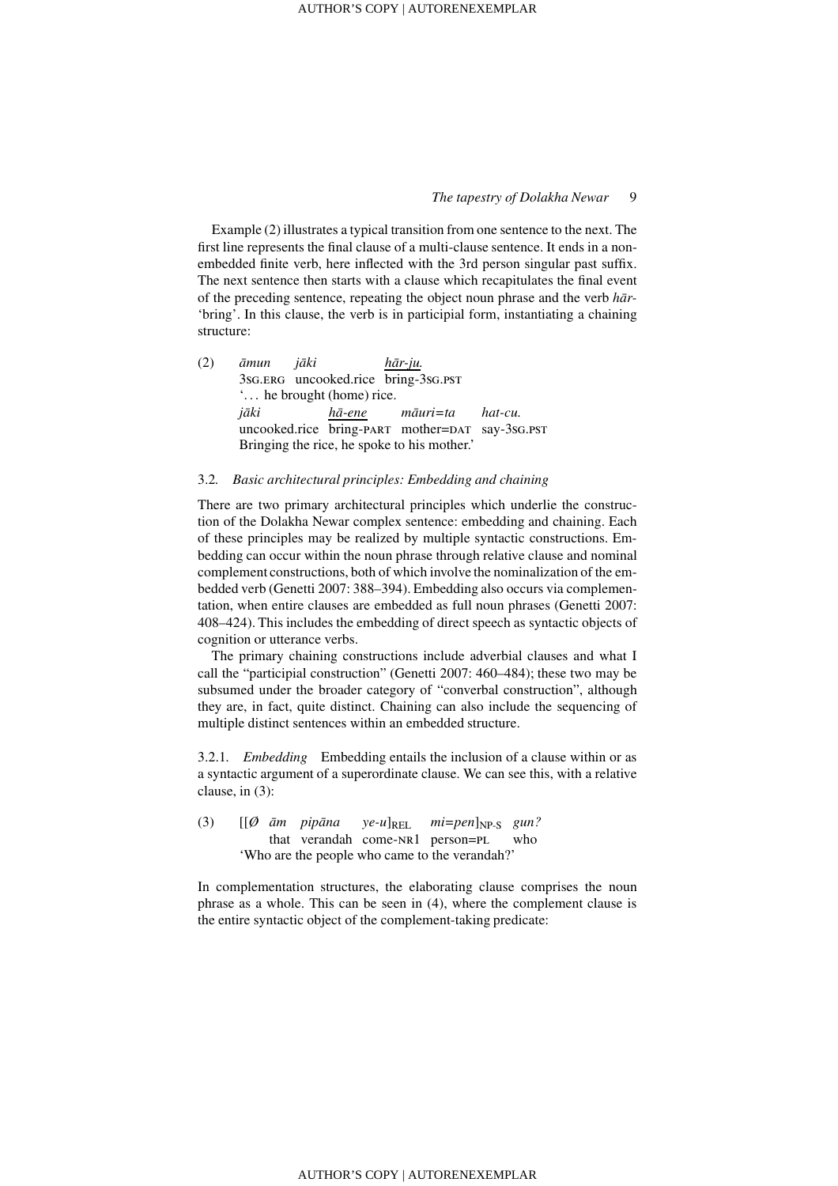Example (2) illustrates a typical transition from one sentence to the next. The first line represents the final clause of a multi-clause sentence. It ends in a nonembedded finite verb, here inflected with the 3rd person singular past suffix. The next sentence then starts with a clause which recapitulates the final event of the preceding sentence, repeating the object noun phrase and the verb  $h\bar{a}r$ -'bring'. In this clause, the verb is in participial form, instantiating a chaining structure:

(2) *amun ¯* 3sg.erg uncooked.rice bring-3sg.pst *j¯aki h¯ar-ju.* '. . . he brought (home) rice. *j¯aki* uncooked.rice bring-PART mother=DAT say-3sG.PST *h¯a-ene m¯auri=ta hat-cu.* Bringing the rice, he spoke to his mother.'

#### 3.2*. Basic architectural principles: Embedding and chaining*

There are two primary architectural principles which underlie the construction of the Dolakha Newar complex sentence: embedding and chaining. Each of these principles may be realized by multiple syntactic constructions. Embedding can occur within the noun phrase through relative clause and nominal complement constructions, both of which involve the nominalization of the embedded verb (Genetti 2007: 388–394). Embedding also occurs via complementation, when entire clauses are embedded as full noun phrases (Genetti 2007: 408–424). This includes the embedding of direct speech as syntactic objects of cognition or utterance verbs.

The primary chaining constructions include adverbial clauses and what I call the "participial construction" (Genetti 2007: 460–484); these two may be subsumed under the broader category of "converbal construction", although they are, in fact, quite distinct. Chaining can also include the sequencing of multiple distinct sentences within an embedded structure.

3.2.1*. Embedding* Embedding entails the inclusion of a clause within or as a syntactic argument of a superordinate clause. We can see this, with a relative clause, in (3):

(3) [[*Ø ¯am pip¯ana* that verandah come-nr1 person=pl  $ye-u$ <sub>REL</sub>  $mi=pen$ <sup>NP-S</sup> gun? who 'Who are the people who came to the verandah?'

In complementation structures, the elaborating clause comprises the noun phrase as a whole. This can be seen in (4), where the complement clause is the entire syntactic object of the complement-taking predicate: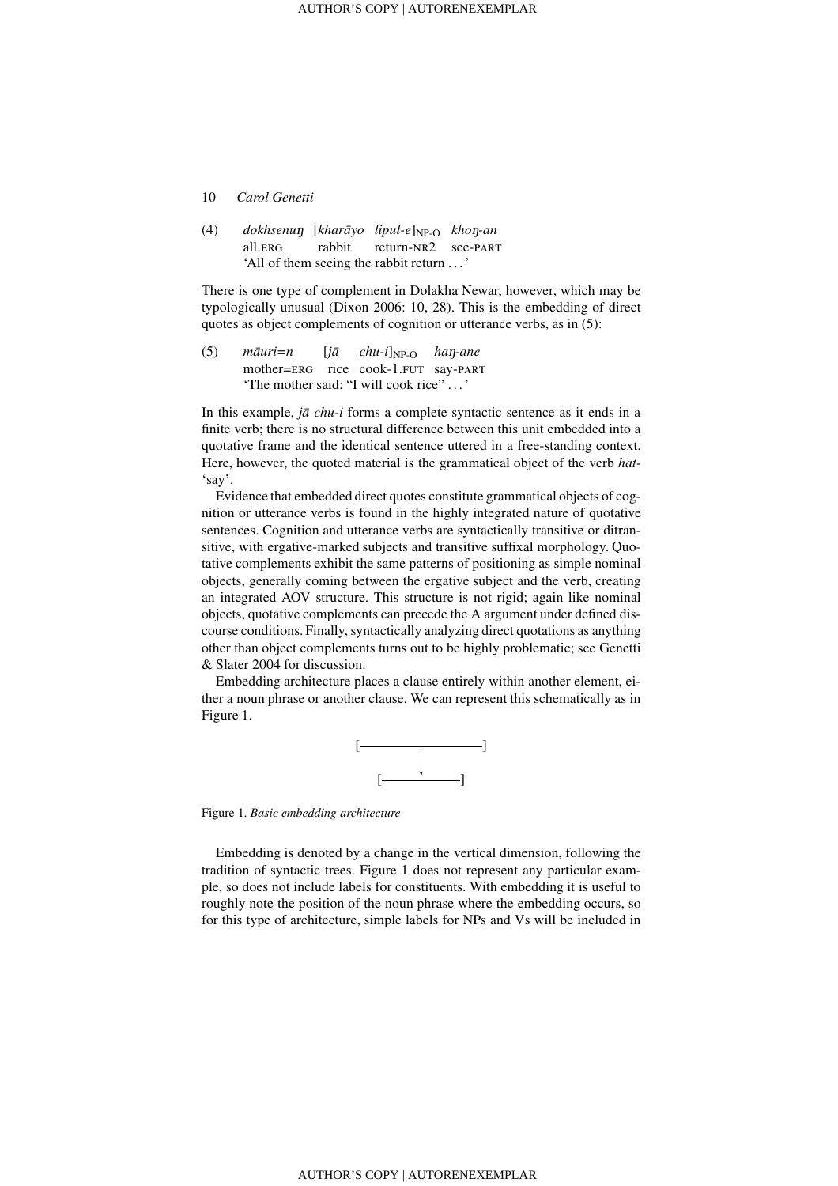- 10 *Carol Genetti*
- (4) dokhsenu $\eta$  [kharāyo lipul-e]<sub>NP-O</sub> kho $\eta$ -an all.erg rabbit return-nr2 see-part 'All of them seeing the rabbit return . . . '

There is one type of complement in Dolakha Newar, however, which may be typologically unusual (Dixon 2006: 10, 28). This is the embedding of direct quotes as object complements of cognition or utterance verbs, as in (5):

(5) *m¯auri=n* mother=ERG rice cook-1.FUT say-PART  $[i\bar{a}]$ *chu-i*]NP-O *ha*N*-ane* 'The mother said: "I will cook rice" . . . '

In this example, *jā chu-i* forms a complete syntactic sentence as it ends in a finite verb; there is no structural difference between this unit embedded into a quotative frame and the identical sentence uttered in a free-standing context. Here, however, the quoted material is the grammatical object of the verb *hat-* 'say'.

Evidence that embedded direct quotes constitute grammatical objects of cognition or utterance verbs is found in the highly integrated nature of quotative sentences. Cognition and utterance verbs are syntactically transitive or ditransitive, with ergative-marked subjects and transitive suffixal morphology. Quotative complements exhibit the same patterns of positioning as simple nominal objects, generally coming between the ergative subject and the verb, creating an integrated AOV structure. This structure is not rigid; again like nominal objects, quotative complements can precede the A argument under defined discourse conditions. Finally, syntactically analyzing direct quotations as anything other than object complements turns out to be highly problematic; see Genetti & Slater 2004 for discussion.

Embedding architecture places a clause entirely within another element, either a noun phrase or another clause. We can represent this schematically as in Figure 1.



Figure 1. *Basic embedding architecture*

Embedding is denoted by a change in the vertical dimension, following the tradition of syntactic trees. Figure 1 does not represent any particular example, so does not include labels for constituents. With embedding it is useful to roughly note the position of the noun phrase where the embedding occurs, so for this type of architecture, simple labels for NPs and Vs will be included in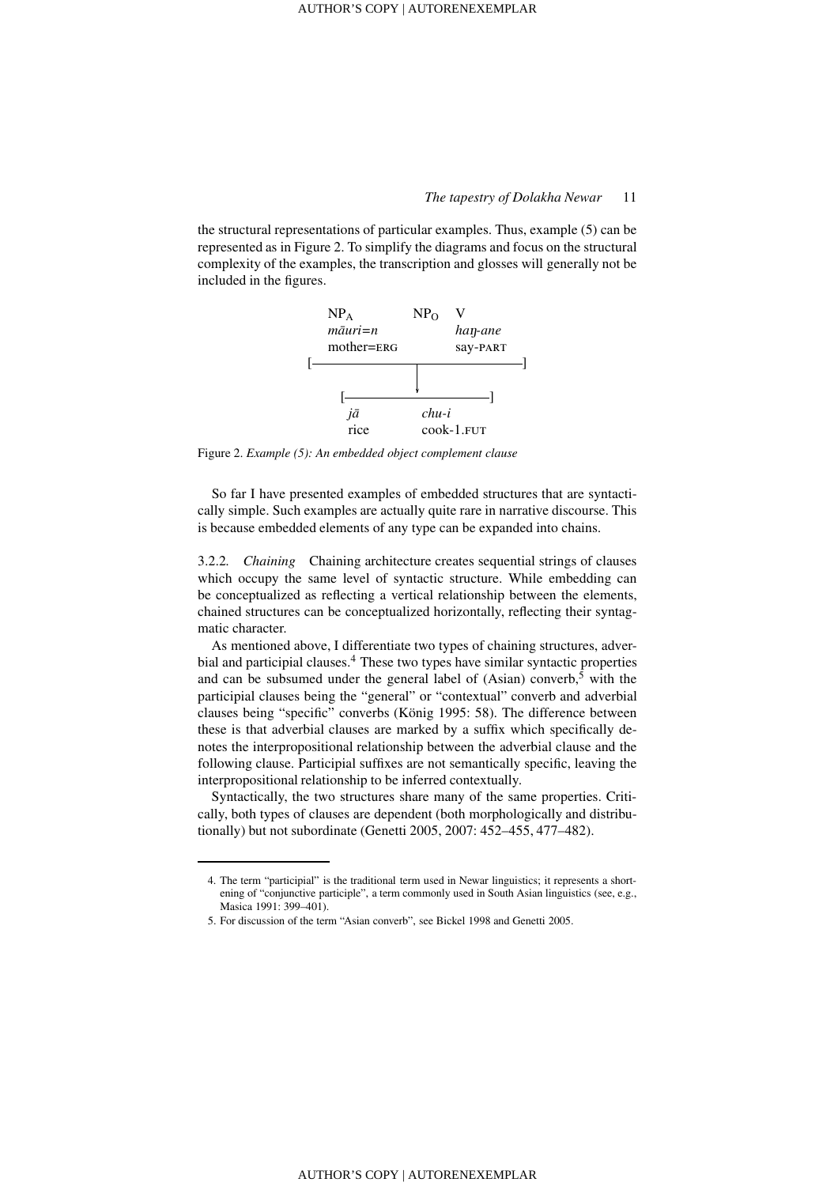the structural representations of particular examples. Thus, example (5) can be represented as in Figure 2. To simplify the diagrams and focus on the structural complexity of the examples, the transcription and glosses will generally not be included in the figures.



Figure 2. *Example (5): An embedded object complement clause*

So far I have presented examples of embedded structures that are syntactically simple. Such examples are actually quite rare in narrative discourse. This is because embedded elements of any type can be expanded into chains.

3.2.2*. Chaining* Chaining architecture creates sequential strings of clauses which occupy the same level of syntactic structure. While embedding can be conceptualized as reflecting a vertical relationship between the elements, chained structures can be conceptualized horizontally, reflecting their syntagmatic character.

As mentioned above, I differentiate two types of chaining structures, adverbial and participial clauses.<sup>4</sup> These two types have similar syntactic properties and can be subsumed under the general label of  $(Asian)$  converb,<sup>5</sup> with the participial clauses being the "general" or "contextual" converb and adverbial clauses being "specific" converbs (König 1995: 58). The difference between these is that adverbial clauses are marked by a suffix which specifically denotes the interpropositional relationship between the adverbial clause and the following clause. Participial suffixes are not semantically specific, leaving the interpropositional relationship to be inferred contextually.

Syntactically, the two structures share many of the same properties. Critically, both types of clauses are dependent (both morphologically and distributionally) but not subordinate (Genetti 2005, 2007: 452–455, 477–482).

<sup>4.</sup> The term "participial" is the traditional term used in Newar linguistics; it represents a shortening of "conjunctive participle", a term commonly used in South Asian linguistics (see, e.g., Masica 1991: 399-401).

<sup>5.</sup> For discussion of the term "Asian converb", see Bickel 1998 and Genetti 2005.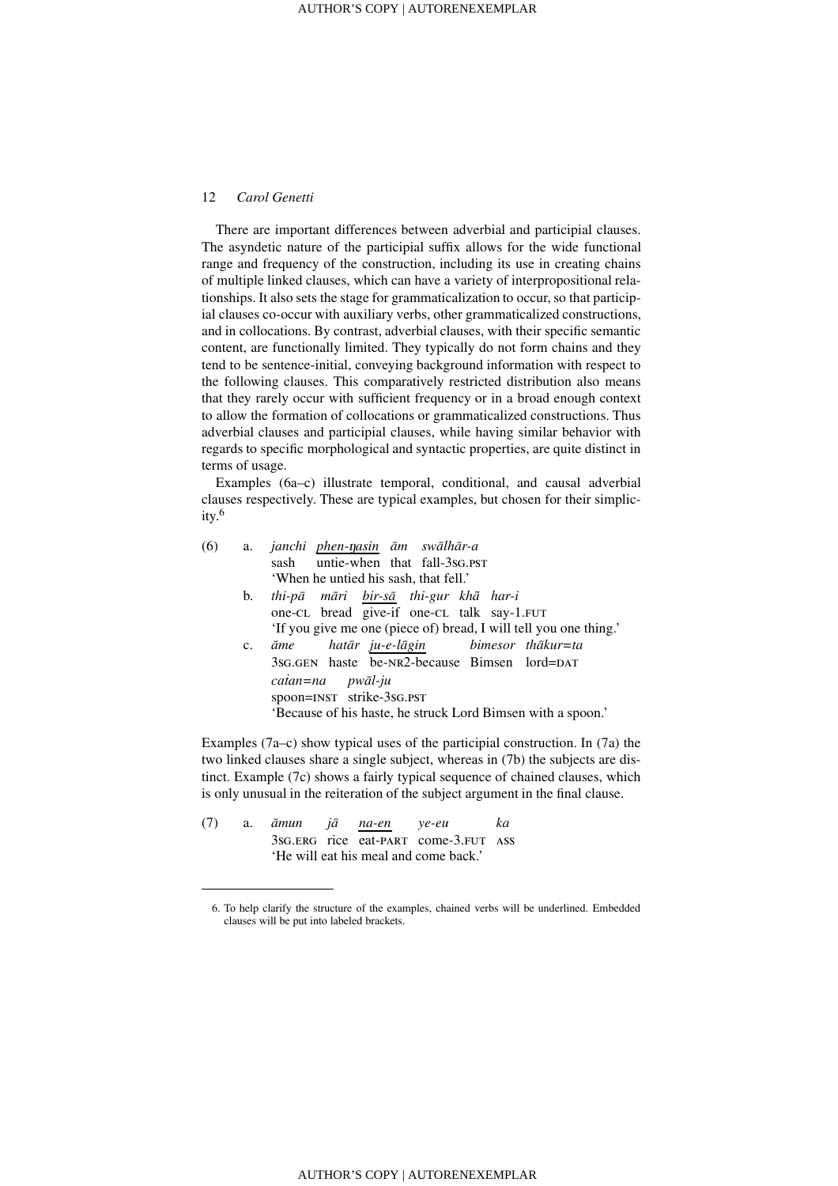There are important differences between adverbial and participial clauses. The asyndetic nature of the participial suffix allows for the wide functional range and frequency of the construction, including its use in creating chains of multiple linked clauses, which can have a variety of interpropositional relationships. It also sets the stage for grammaticalization to occur, so that participial clauses co-occur with auxiliary verbs, other grammaticalized constructions, and in collocations. By contrast, adverbial clauses, with their specific semantic content, are functionally limited. They typically do not form chains and they tend to be sentence-initial, conveying background information with respect to the following clauses. This comparatively restricted distribution also means that they rarely occur with sufficient frequency or in a broad enough context to allow the formation of collocations or grammaticalized constructions. Thus adverbial clauses and participial clauses, while having similar behavior with regards to specific morphological and syntactic properties, are quite distinct in terms of usage.

Examples (6a–c) illustrate temporal, conditional, and causal adverbial clauses respectively. These are typical examples, but chosen for their simplicity.<sup>6</sup>

| (6) |             | a. janchi phen-nasin ām swālhār-a                                 |
|-----|-------------|-------------------------------------------------------------------|
|     |             | sash untie-when that fall-3sg. PST                                |
|     |             | 'When he untied his sash, that fell.'                             |
|     |             | b. thi-pā māri bir-sā thi-gur khã har-i                           |
|     |             | one-CL bread give-if one-CL talk say-1.FUT                        |
|     |             | 'If you give me one (piece of) bread, I will tell you one thing.' |
|     | $c_{\cdot}$ | āme hatār ju-e-lāgin bimesor thākur=ta                            |
|     |             | 3sg. GEN haste be-NR2-because Bimsen lord=DAT                     |
|     |             | catan=na pwāl-ju                                                  |
|     |             | spoon=INST strike-3sG.PST                                         |
|     |             | 'Because of his haste, he struck Lord Bimsen with a spoon.'       |
|     |             |                                                                   |

Examples (7a–c) show typical uses of the participial construction. In (7a) the two linked clauses share a single subject, whereas in (7b) the subjects are distinct. Example (7c) shows a fairly typical sequence of chained clauses, which is only unusual in the reiteration of the subject argument in the final clause.

(7) a. *amun ¯* 3sg.erg rice eat-part come-3.FUT ASS *j¯a na-en ye-eu ka* 'He will eat his meal and come back.'

<sup>6.</sup> To help clarify the structure of the examples, chained verbs will be underlined. Embedded clauses will be put into labeled brackets.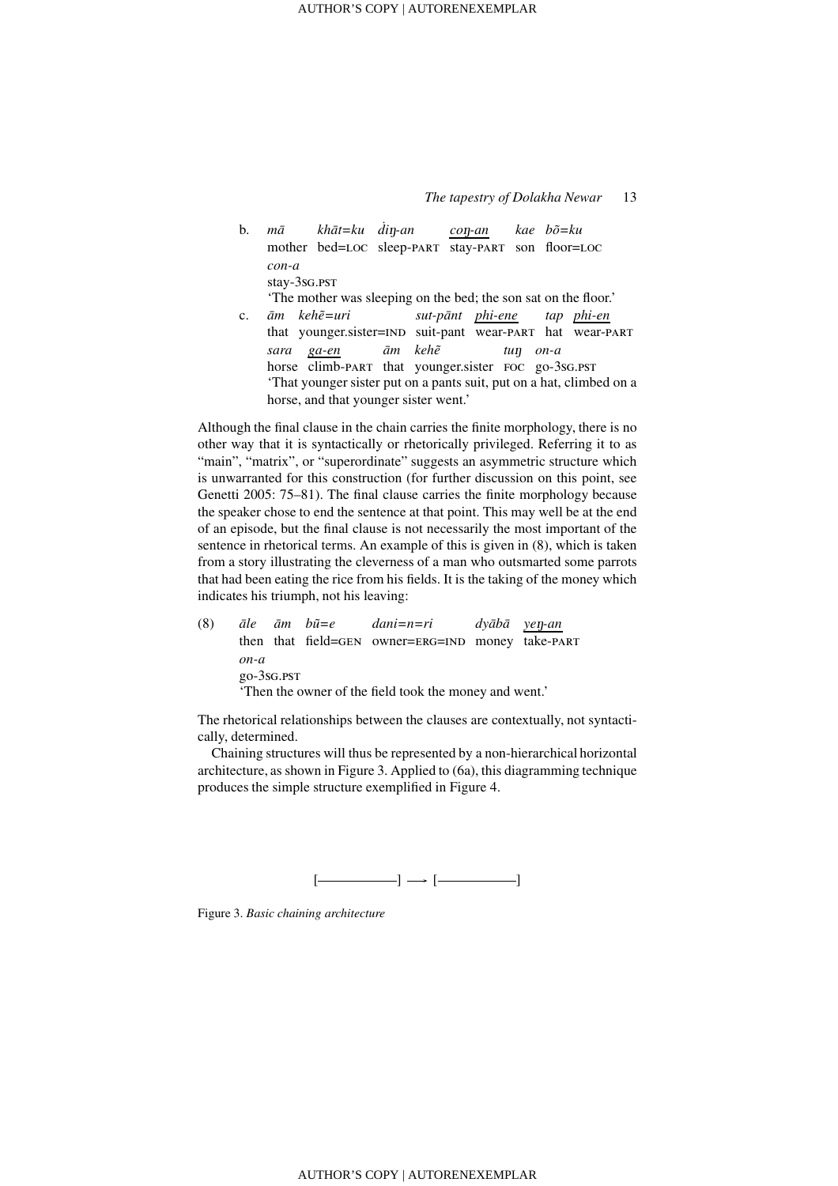| $m\bar{a}$ |                             |                |                                                        |     |                                                                                                                                                                                                                                                                                                                                                                            |
|------------|-----------------------------|----------------|--------------------------------------------------------|-----|----------------------------------------------------------------------------------------------------------------------------------------------------------------------------------------------------------------------------------------------------------------------------------------------------------------------------------------------------------------------------|
|            |                             |                |                                                        |     |                                                                                                                                                                                                                                                                                                                                                                            |
| $con-a$    |                             |                |                                                        |     |                                                                                                                                                                                                                                                                                                                                                                            |
|            |                             |                |                                                        |     |                                                                                                                                                                                                                                                                                                                                                                            |
|            |                             |                |                                                        |     |                                                                                                                                                                                                                                                                                                                                                                            |
|            |                             |                |                                                        |     |                                                                                                                                                                                                                                                                                                                                                                            |
|            |                             |                |                                                        |     |                                                                                                                                                                                                                                                                                                                                                                            |
| sara       |                             |                |                                                        |     |                                                                                                                                                                                                                                                                                                                                                                            |
|            |                             |                |                                                        |     |                                                                                                                                                                                                                                                                                                                                                                            |
|            |                             |                |                                                        |     |                                                                                                                                                                                                                                                                                                                                                                            |
|            |                             |                |                                                        |     |                                                                                                                                                                                                                                                                                                                                                                            |
|            | stay-3sG.PST<br>ām kehē=uri | khāt=ku diŋ-an | ga-en ām kehē<br>horse, and that younger sister went.' | tun | con-an kae bõ=ku<br>mother bed=LOC sleep-PART stay-PART son floor=LOC<br>'The mother was sleeping on the bed; the son sat on the floor.'<br>sut-pānt phi-ene tap phi-en<br>that younger.sister=IND suit-pant wear-PART hat wear-PART<br>on-a<br>horse climb-PART that younger sister FOC go-3sG.PST<br>That younger sister put on a pants suit, put on a hat, climbed on a |

Although the final clause in the chain carries the finite morphology, there is no other way that it is syntactically or rhetorically privileged. Referring it to as "main", "matrix", or "superordinate" suggests an asymmetric structure which is unwarranted for this construction (for further discussion on this point, see Genetti 2005: 75–81). The final clause carries the finite morphology because the speaker chose to end the sentence at that point. This may well be at the end of an episode, but the final clause is not necessarily the most important of the sentence in rhetorical terms. An example of this is given in (8), which is taken from a story illustrating the cleverness of a man who outsmarted some parrots that had been eating the rice from his fields. It is the taking of the money which indicates his triumph, not his leaving:

 $(8)$   $\bar{a}$ *le* then that field=gen owner=erg=ind money take-part *am¯ b˜u=e dani=n=ri dy¯ab¯a ye*N*-an on-a* go-3sg.pst 'Then the owner of the field took the money and went.'

The rhetorical relationships between the clauses are contextually, not syntactically, determined.

Chaining structures will thus be represented by a non-hierarchical horizontal architecture, as shown in Figure 3. Applied to (6a), this diagramming technique produces the simple structure exemplified in Figure 4.



Figure 3. *Basic chaining architecture*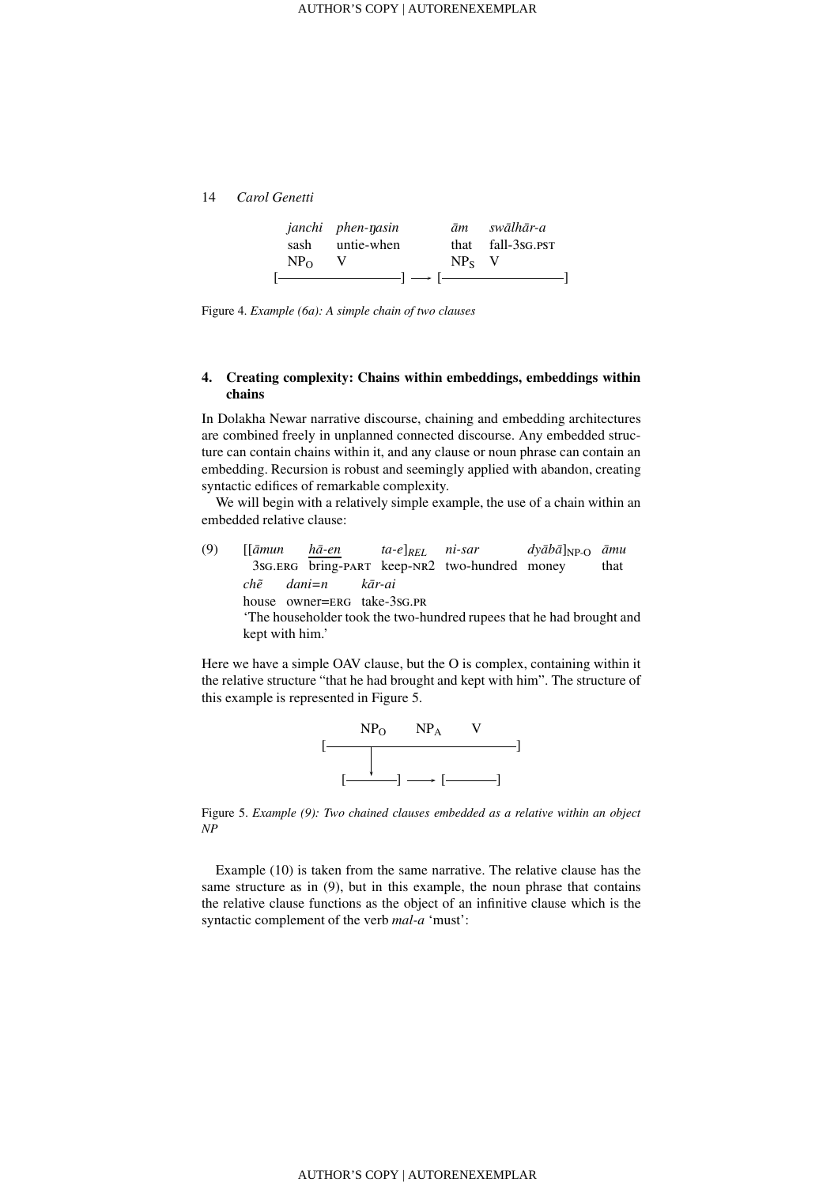|                 | janchi phen-nasin | ām       | swālhār-a         |  |
|-----------------|-------------------|----------|-------------------|--|
| sash            | untie-when        |          | that fall-3sg.pst |  |
| NP <sub>0</sub> |                   | $NP_S$ V |                   |  |
|                 |                   |          |                   |  |

Figure 4. *Example (6a): A simple chain of two clauses*

# **4. Creating complexity: Chains within embeddings, embeddings within chains**

In Dolakha Newar narrative discourse, chaining and embedding architectures are combined freely in unplanned connected discourse. Any embedded structure can contain chains within it, and any clause or noun phrase can contain an embedding. Recursion is robust and seemingly applied with abandon, creating syntactic edifices of remarkable complexity.

We will begin with a relatively simple example, the use of a chain within an embedded relative clause:

(9) [[*amun ¯* 3sg.erg bring-part keep-nr2 two-hundred money *h¯a-en ta-e*]*REL ni-sar* dyābā]<sub>NP-O</sub> āmu that *ch˜e* house owner=erg take-3sg.pr *dani=n k¯ar-ai* 'The householder took the two-hundred rupees that he had brought and kept with him.'

Here we have a simple OAV clause, but the O is complex, containing within it the relative structure "that he had brought and kept with him". The structure of this example is represented in Figure 5.



Figure 5. *Example (9): Two chained clauses embedded as a relative within an object NP*

Example (10) is taken from the same narrative. The relative clause has the same structure as in (9), but in this example, the noun phrase that contains the relative clause functions as the object of an infinitive clause which is the syntactic complement of the verb *mal-a* 'must':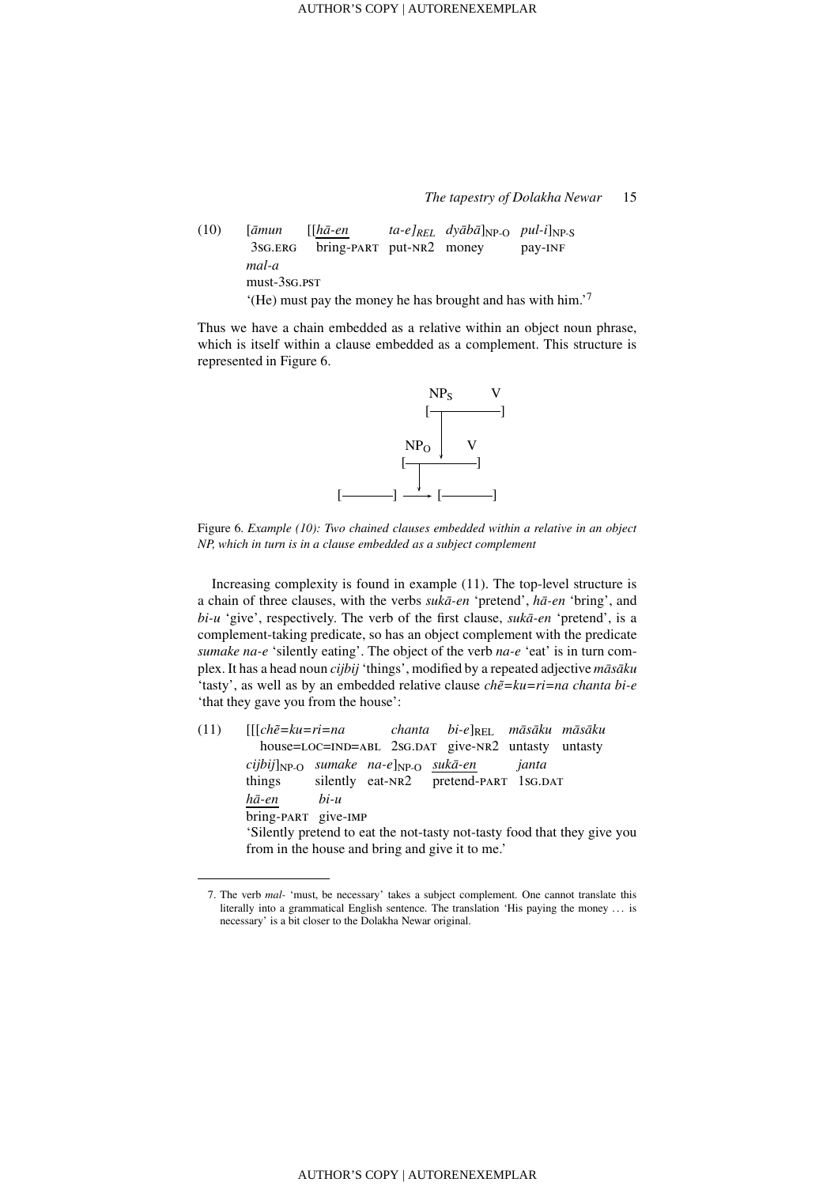$(10)$  *[* $āmun$ 3sg.erg [[*h¯a-en* bring-part put-nr2 money *ta-e]REL dy¯ab¯a*]NP-O *pul-i*]NP-S pay-inf *mal-a* must-3sg.pst '(He) must pay the money he has brought and has with him.'<sup>7</sup>

Thus we have a chain embedded as a relative within an object noun phrase, which is itself within a clause embedded as a complement. This structure is represented in Figure 6.



Figure 6. *Example (10): Two chained clauses embedded within a relative in an object NP, which in turn is in a clause embedded as a subject complement*

Increasing complexity is found in example (11). The top-level structure is a chain of three clauses, with the verbs *suk¯a-en* 'pretend', *h¯a-en* 'bring', and *bi-u* 'give', respectively. The verb of the first clause, *sukā-en* 'pretend', is a complement-taking predicate, so has an object complement with the predicate *sumake na-e* 'silently eating'. The object of the verb *na-e* 'eat' is in turn complex. It has a head noun *cijbij* 'things', modified by a repeated adjective *māsāku* 'tasty', as well as by an embedded relative clause *ch˜e=ku=ri=na chanta bi-e* 'that they gave you from the house':

(11) [[[*ch˜e=ku=ri=na* house=LOC=IND=ABL 2sG.DAT give-NR2 untasty untasty *chanta bi-e*]REL *m¯as¯aku m¯as¯aku*  $\alpha$ cijbij]<sub>NP-O</sub> sumake na-e]<sub>NP-O</sub> <u>sukā-en</u> things silently eat-NR2 pretend-PART 1SG.DAT *janta h¯a-en* bring-PART give-IMP *bi-u* 'Silently pretend to eat the not-tasty not-tasty food that they give you from in the house and bring and give it to me.'

<sup>7.</sup> The verb *mal-* 'must, be necessary' takes a subject complement. One cannot translate this literally into a grammatical English sentence. The translation 'His paying the money . . . is necessary' is a bit closer to the Dolakha Newar original.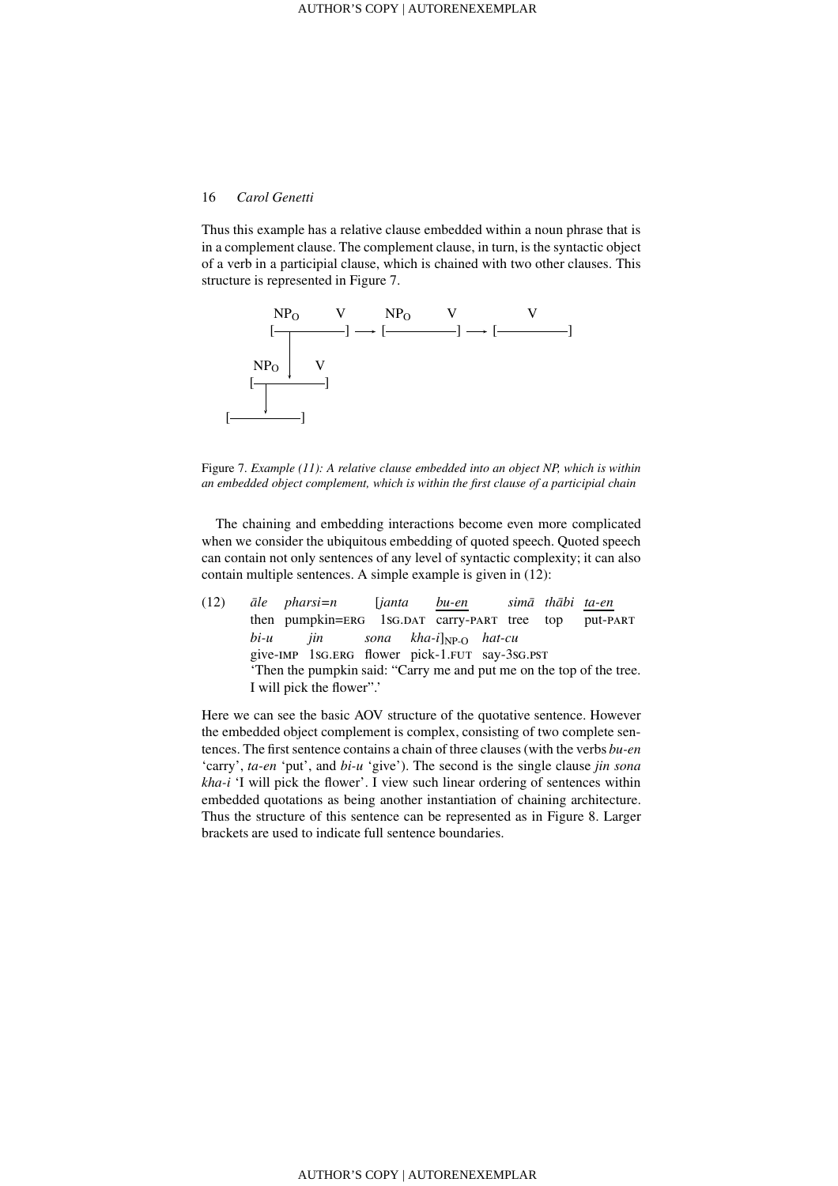Thus this example has a relative clause embedded within a noun phrase that is in a complement clause. The complement clause, in turn, is the syntactic object of a verb in a participial clause, which is chained with two other clauses. This structure is represented in Figure 7.



Figure 7. *Example (11): A relative clause embedded into an object NP, which is within an embedded object complement, which is within the first clause of a participial chain*

The chaining and embedding interactions become even more complicated when we consider the ubiquitous embedding of quoted speech. Quoted speech can contain not only sentences of any level of syntactic complexity; it can also contain multiple sentences. A simple example is given in (12):

 $(12)$   $\bar{a}$ *le* then pumpkin=ERG 1sG.DAT carry-PART tree top put-PART *pharsi=n* [*janta bu-en sim¯a th¯abi ta-en bi-u* give-IMP 1sG.ERG flower pick-1.FUT say-3sG.PST *jin sona kha-i*]NP-O *hat-cu* 'Then the pumpkin said: "Carry me and put me on the top of the tree. I will pick the flower".'

Here we can see the basic AOV structure of the quotative sentence. However the embedded object complement is complex, consisting of two complete sentences. The first sentence contains a chain of three clauses (with the verbs *bu-en* 'carry', *ta-en* 'put', and *bi-u* 'give'). The second is the single clause *jin sona kha-i* 'I will pick the flower'. I view such linear ordering of sentences within embedded quotations as being another instantiation of chaining architecture. Thus the structure of this sentence can be represented as in Figure 8. Larger brackets are used to indicate full sentence boundaries.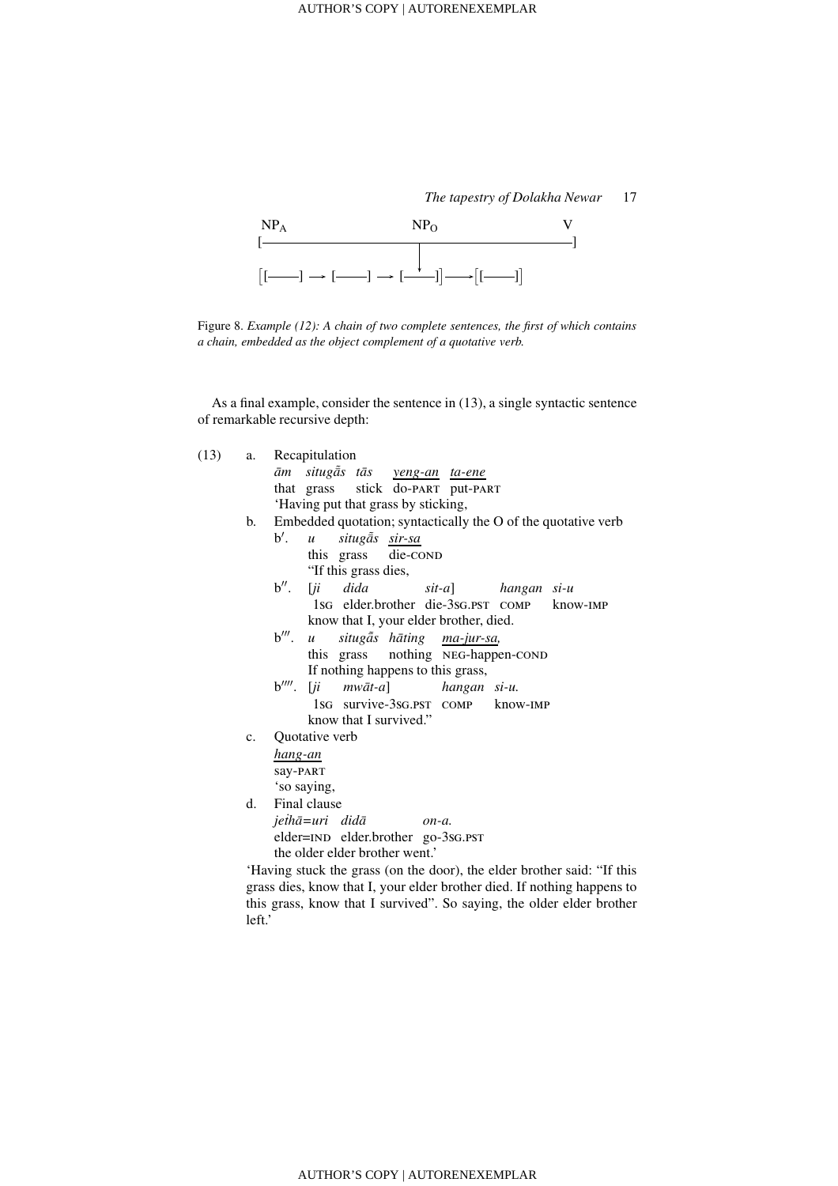

Figure 8. *Example (12): A chain of two complete sentences, the first of which contains a chain, embedded as the object complement of a quotative verb.*

As a final example, consider the sentence in (13), a single syntactic sentence of remarkable recursive depth:

| (13) | a. | Recapitulation                                                        |  |  |  |  |  |  |  |
|------|----|-----------------------------------------------------------------------|--|--|--|--|--|--|--|
|      |    | ām situgās tās yeng-an ta-ene                                         |  |  |  |  |  |  |  |
|      |    | that grass stick do-PART put-PART                                     |  |  |  |  |  |  |  |
|      |    | 'Having put that grass by sticking,                                   |  |  |  |  |  |  |  |
|      | b. | Embedded quotation; syntactically the O of the quotative verb         |  |  |  |  |  |  |  |
|      |    | b'. $u$ situg $\tilde{a}$ s sir-sa                                    |  |  |  |  |  |  |  |
|      |    | this grass die-COND                                                   |  |  |  |  |  |  |  |
|      |    | "If this grass dies,                                                  |  |  |  |  |  |  |  |
|      |    | b''. [ji dida sit-a] hangan si-u                                      |  |  |  |  |  |  |  |
|      |    | 1sg elder.brother die-3sg.pst COMP know-IMP                           |  |  |  |  |  |  |  |
|      |    | know that I, your elder brother, died.                                |  |  |  |  |  |  |  |
|      |    | $b'''$ .<br>u situgās hāting ma-jur-sa,                               |  |  |  |  |  |  |  |
|      |    | this grass nothing NEG-happen-COND                                    |  |  |  |  |  |  |  |
|      |    | If nothing happens to this grass,                                     |  |  |  |  |  |  |  |
|      |    | $b^{\prime\prime\prime\prime}$ . [ji<br>mwāt-a] hangan si-u.          |  |  |  |  |  |  |  |
|      |    | 1sG survive-3sG.PST COMP know-IMP                                     |  |  |  |  |  |  |  |
|      |    | know that I survived."                                                |  |  |  |  |  |  |  |
|      | c. | Quotative verb                                                        |  |  |  |  |  |  |  |
|      |    | hang-an                                                               |  |  |  |  |  |  |  |
|      |    | say-PART                                                              |  |  |  |  |  |  |  |
|      |    | 'so saying,                                                           |  |  |  |  |  |  |  |
|      | d. | Final clause                                                          |  |  |  |  |  |  |  |
|      |    | jethā=uri didā<br>on-a.                                               |  |  |  |  |  |  |  |
|      |    | elder=IND elder.brother go-3sG.PST                                    |  |  |  |  |  |  |  |
|      |    | the older elder brother went.'                                        |  |  |  |  |  |  |  |
|      |    | Haring stuals the gross (on the door) the alder hrather said: "If the |  |  |  |  |  |  |  |

'Having stuck the grass (on the door), the elder brother said: "If this grass dies, know that I, your elder brother died. If nothing happens to this grass, know that I survived". So saying, the older elder brother left.'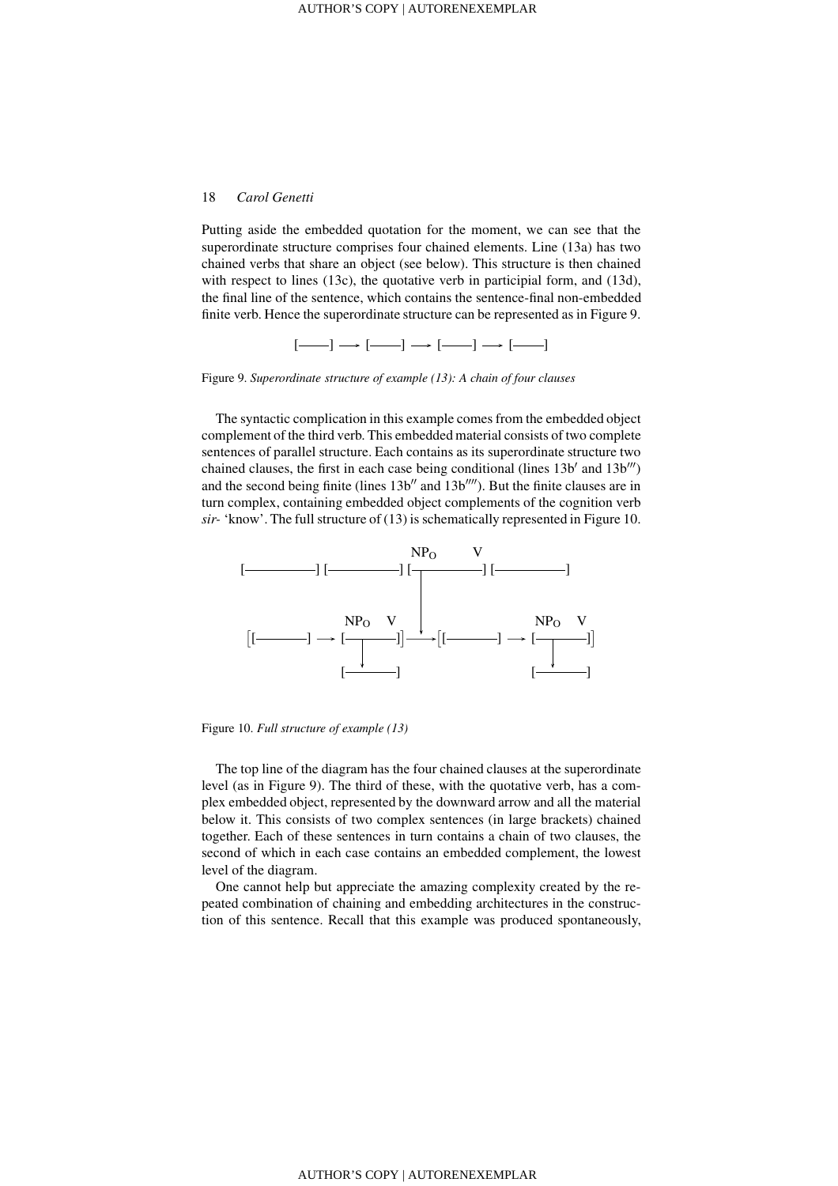Putting aside the embedded quotation for the moment, we can see that the superordinate structure comprises four chained elements. Line (13a) has two chained verbs that share an object (see below). This structure is then chained with respect to lines (13c), the quotative verb in participial form, and (13d), the final line of the sentence, which contains the sentence-final non-embedded finite verb. Hence the superordinate structure can be represented as in Figure 9.

 $[-\rightarrow[\rightarrow\rightarrow[\rightarrow\rightarrow\rightarrow\rightarrow\rightarrow\rightarrow]$ 



The syntactic complication in this example comes from the embedded object complement of the third verb. This embedded material consists of two complete sentences of parallel structure. Each contains as its superordinate structure two chained clauses, the first in each case being conditional (lines  $13b'$  and  $13b'''$ ) and the second being finite (lines  $13b''$  and  $13b''''$ ). But the finite clauses are in turn complex, containing embedded object complements of the cognition verb *sir-* 'know'. The full structure of (13) is schematically represented in Figure 10.



Figure 10. *Full structure of example (13)*

The top line of the diagram has the four chained clauses at the superordinate level (as in Figure 9). The third of these, with the quotative verb, has a complex embedded object, represented by the downward arrow and all the material below it. This consists of two complex sentences (in large brackets) chained together. Each of these sentences in turn contains a chain of two clauses, the second of which in each case contains an embedded complement, the lowest level of the diagram.

One cannot help but appreciate the amazing complexity created by the repeated combination of chaining and embedding architectures in the construction of this sentence. Recall that this example was produced spontaneously,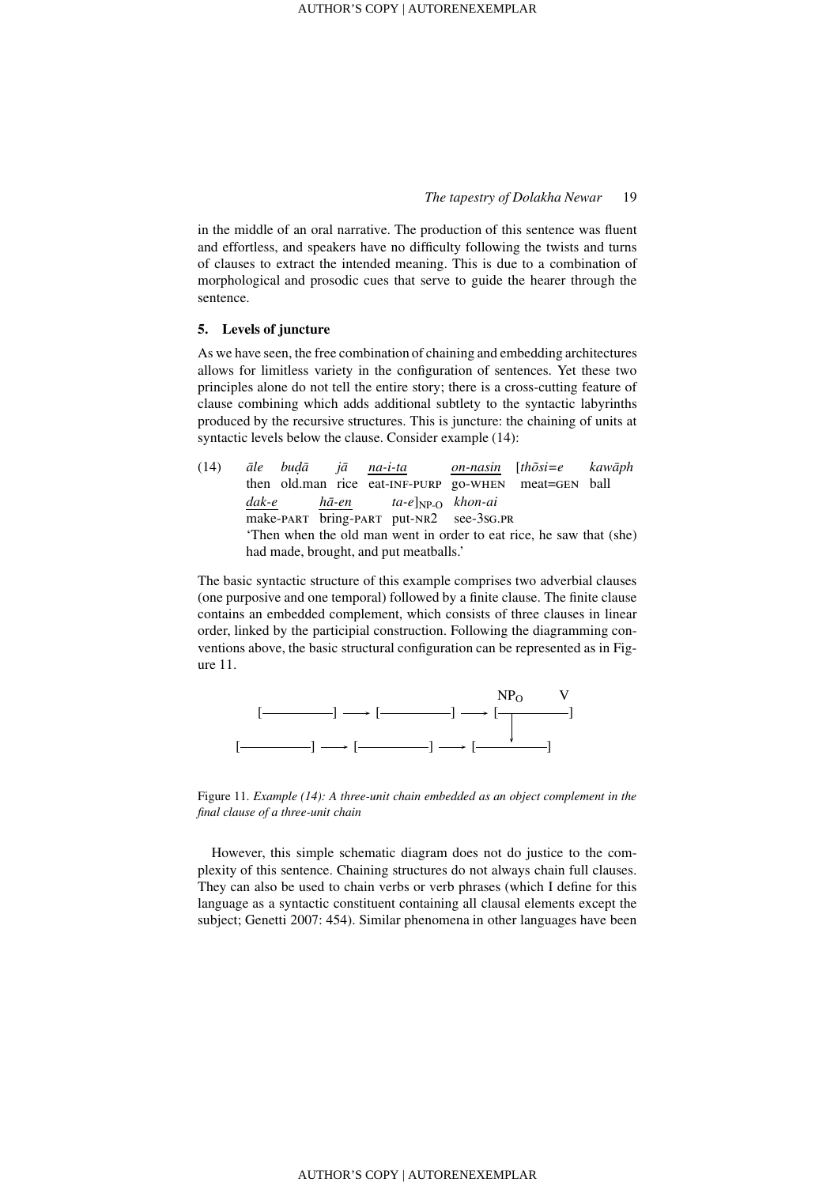in the middle of an oral narrative. The production of this sentence was fluent and effortless, and speakers have no difficulty following the twists and turns of clauses to extract the intended meaning. This is due to a combination of morphological and prosodic cues that serve to guide the hearer through the sentence.

# **5. Levels of juncture**

As we have seen, the free combination of chaining and embedding architectures allows for limitless variety in the configuration of sentences. Yet these two principles alone do not tell the entire story; there is a cross-cutting feature of clause combining which adds additional subtlety to the syntactic labyrinths produced by the recursive structures. This is juncture: the chaining of units at syntactic levels below the clause. Consider example (14):

 $(14)$   $\bar{a}$ *le* then old.man rice eat-INF-PURP go-WHEN meat=GEN ball *buḍā*<br>old n  $i\bar{a}$ *na-i-ta on-nasin* [*thõsi=e kaw¯aph dak-e* make-part bring-part put-nr2 see-3sg.pr *h¯a-en ta-e*]NP-O *khon-ai* 'Then when the old man went in order to eat rice, he saw that (she) had made, brought, and put meatballs.'

The basic syntactic structure of this example comprises two adverbial clauses (one purposive and one temporal) followed by a finite clause. The finite clause contains an embedded complement, which consists of three clauses in linear order, linked by the participial construction. Following the diagramming conventions above, the basic structural configuration can be represented as in Figure 11.



Figure 11. *Example (14): A three-unit chain embedded as an object complement in the final clause of a three-unit chain*

However, this simple schematic diagram does not do justice to the complexity of this sentence. Chaining structures do not always chain full clauses. They can also be used to chain verbs or verb phrases (which I define for this language as a syntactic constituent containing all clausal elements except the subject; Genetti 2007: 454). Similar phenomena in other languages have been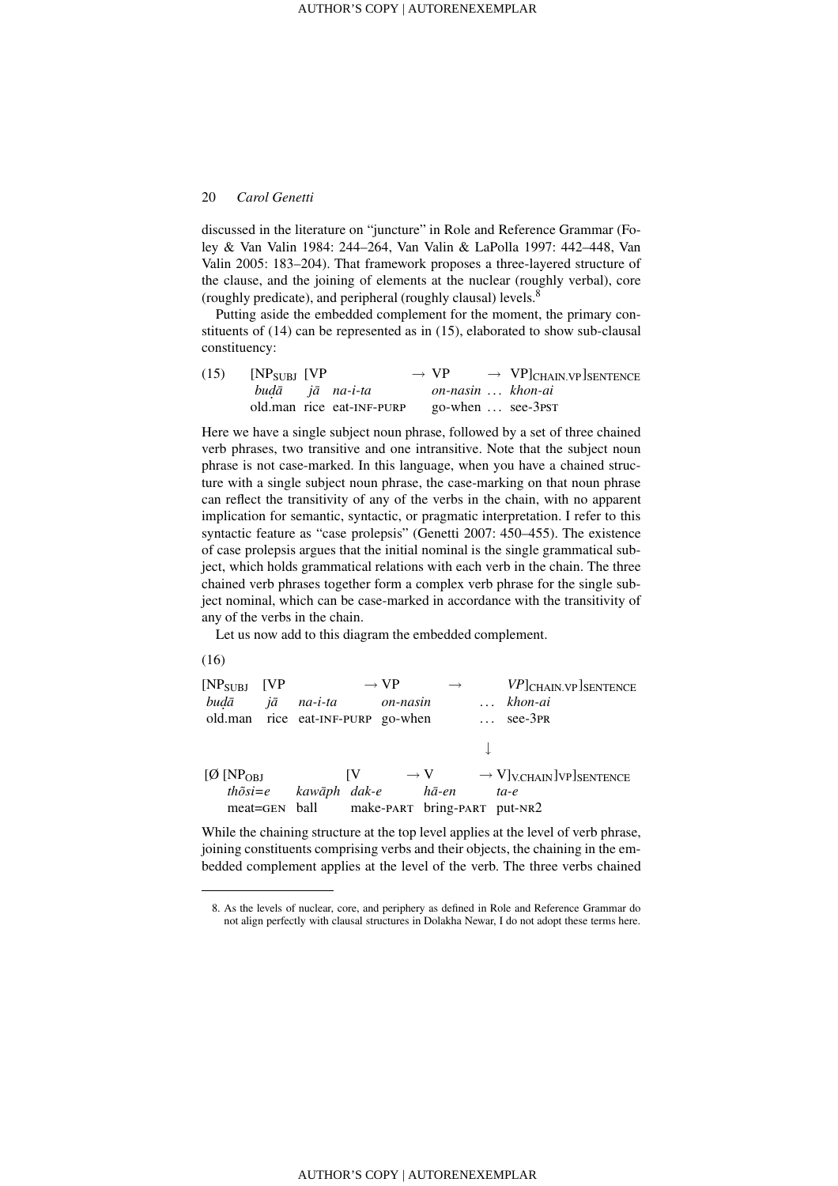discussed in the literature on "juncture" in Role and Reference Grammar (Foley & Van Valin 1984: 244–264, Van Valin & LaPolla 1997: 442–448, Van Valin 2005: 183–204). That framework proposes a three-layered structure of the clause, and the joining of elements at the nuclear (roughly verbal), core (roughly predicate), and peripheral (roughly clausal) levels.8

Putting aside the embedded complement for the moment, the primary constituents of (14) can be represented as in (15), elaborated to show sub-clausal constituency:

| (15) $[NP_{SUBJ} [VP$ |                                             |                   | $\rightarrow VP \rightarrow VP$ <sub>CHAIN.VP</sub> SENTENCE |
|-----------------------|---------------------------------------------|-------------------|--------------------------------------------------------------|
| budā jā na-i-ta       |                                             | on-nasin  khon-ai |                                                              |
|                       | old.man rice eat-INF-PURP go-when  see-3PST |                   |                                                              |

Here we have a single subject noun phrase, followed by a set of three chained verb phrases, two transitive and one intransitive. Note that the subject noun phrase is not case-marked. In this language, when you have a chained structure with a single subject noun phrase, the case-marking on that noun phrase can reflect the transitivity of any of the verbs in the chain, with no apparent implication for semantic, syntactic, or pragmatic interpretation. I refer to this syntactic feature as "case prolepsis" (Genetti 2007: 450–455). The existence of case prolepsis argues that the initial nominal is the single grammatical subject, which holds grammatical relations with each verb in the chain. The three chained verb phrases together form a complex verb phrase for the single subject nominal, which can be case-marked in accordance with the transitivity of any of the verbs in the chain.

Let us now add to this diagram the embedded complement.

(16)

| [NP <sub>SUBJ</sub> [VP |                                            | $\rightarrow VP$ | $\longrightarrow$ | $VP$ CHAIN.VP SENTENCE                                            |
|-------------------------|--------------------------------------------|------------------|-------------------|-------------------------------------------------------------------|
|                         | budā jā na-i-ta — on-nasin —  khon-ai      |                  |                   |                                                                   |
|                         | old.man rice eat-INF-PURP go-when  see-3PR |                  |                   |                                                                   |
|                         |                                            |                  |                   |                                                                   |
|                         |                                            |                  |                   |                                                                   |
| [Ø [NP <sub>OBJ</sub> ] |                                            |                  |                   | $[V \longrightarrow V \longrightarrow V]_{V. CHAIN}$ JVP SENTENCE |
|                         | thõsi=e kawāph dak-e hā-en                 |                  |                   | ta-e                                                              |
|                         | meat=GEN ball make-PART bring-PART put-NR2 |                  |                   |                                                                   |

While the chaining structure at the top level applies at the level of verb phrase, joining constituents comprising verbs and their objects, the chaining in the embedded complement applies at the level of the verb. The three verbs chained

<sup>8.</sup> As the levels of nuclear, core, and periphery as defined in Role and Reference Grammar do not align perfectly with clausal structures in Dolakha Newar, I do not adopt these terms here.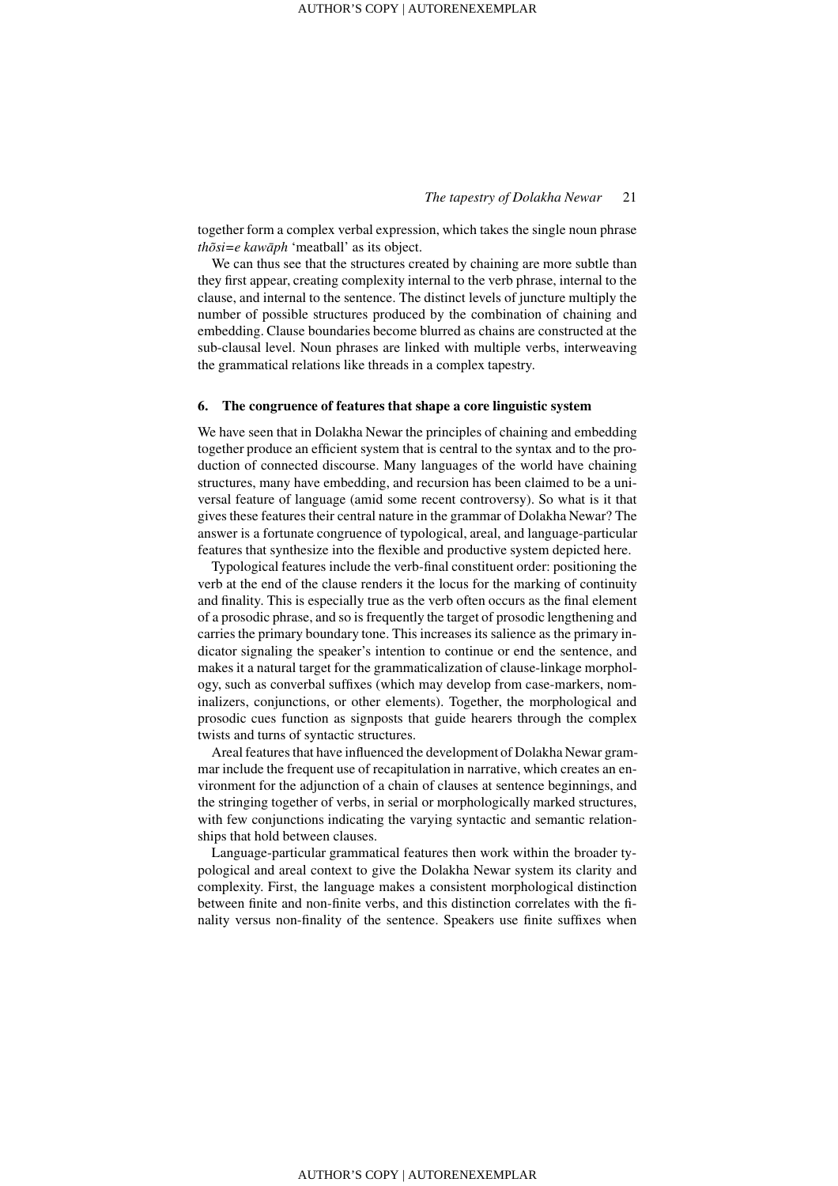together form a complex verbal expression, which takes the single noun phrase *thõsi=e kaw¯aph* 'meatball' as its object.

We can thus see that the structures created by chaining are more subtle than they first appear, creating complexity internal to the verb phrase, internal to the clause, and internal to the sentence. The distinct levels of juncture multiply the number of possible structures produced by the combination of chaining and embedding. Clause boundaries become blurred as chains are constructed at the sub-clausal level. Noun phrases are linked with multiple verbs, interweaving the grammatical relations like threads in a complex tapestry.

### **6. The congruence of features that shape a core linguistic system**

We have seen that in Dolakha Newar the principles of chaining and embedding together produce an efficient system that is central to the syntax and to the production of connected discourse. Many languages of the world have chaining structures, many have embedding, and recursion has been claimed to be a universal feature of language (amid some recent controversy). So what is it that gives these features their central nature in the grammar of Dolakha Newar? The answer is a fortunate congruence of typological, areal, and language-particular features that synthesize into the flexible and productive system depicted here.

Typological features include the verb-final constituent order: positioning the verb at the end of the clause renders it the locus for the marking of continuity and finality. This is especially true as the verb often occurs as the final element of a prosodic phrase, and so is frequently the target of prosodic lengthening and carries the primary boundary tone. This increases its salience as the primary indicator signaling the speaker's intention to continue or end the sentence, and makes it a natural target for the grammaticalization of clause-linkage morphology, such as converbal suffixes (which may develop from case-markers, nominalizers, conjunctions, or other elements). Together, the morphological and prosodic cues function as signposts that guide hearers through the complex twists and turns of syntactic structures.

Areal features that have influenced the development of Dolakha Newar grammar include the frequent use of recapitulation in narrative, which creates an environment for the adjunction of a chain of clauses at sentence beginnings, and the stringing together of verbs, in serial or morphologically marked structures, with few conjunctions indicating the varying syntactic and semantic relationships that hold between clauses.

Language-particular grammatical features then work within the broader typological and areal context to give the Dolakha Newar system its clarity and complexity. First, the language makes a consistent morphological distinction between finite and non-finite verbs, and this distinction correlates with the finality versus non-finality of the sentence. Speakers use finite suffixes when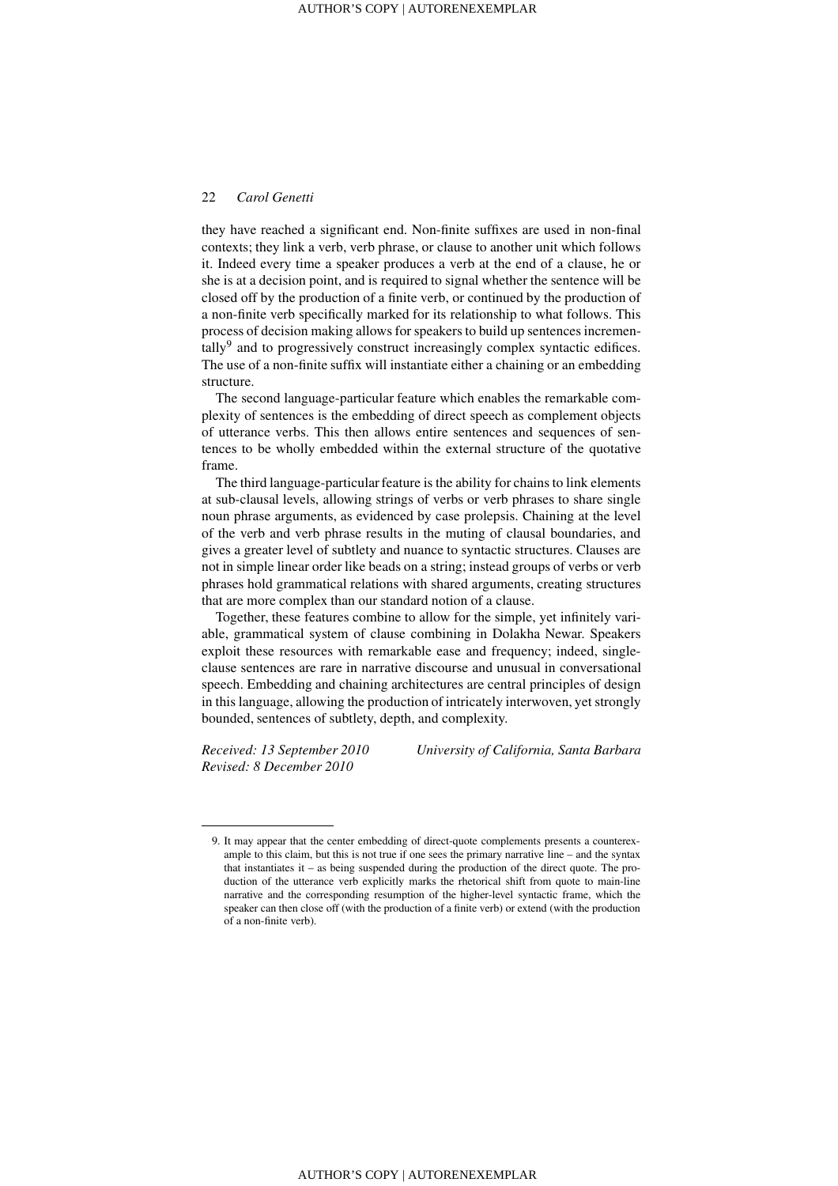they have reached a significant end. Non-finite suffixes are used in non-final contexts; they link a verb, verb phrase, or clause to another unit which follows it. Indeed every time a speaker produces a verb at the end of a clause, he or she is at a decision point, and is required to signal whether the sentence will be closed off by the production of a finite verb, or continued by the production of a non-finite verb specifically marked for its relationship to what follows. This process of decision making allows for speakers to build up sentences incrementally<sup>9</sup> and to progressively construct increasingly complex syntactic edifices. The use of a non-finite suffix will instantiate either a chaining or an embedding structure.

The second language-particular feature which enables the remarkable complexity of sentences is the embedding of direct speech as complement objects of utterance verbs. This then allows entire sentences and sequences of sentences to be wholly embedded within the external structure of the quotative frame.

The third language-particular feature is the ability for chains to link elements at sub-clausal levels, allowing strings of verbs or verb phrases to share single noun phrase arguments, as evidenced by case prolepsis. Chaining at the level of the verb and verb phrase results in the muting of clausal boundaries, and gives a greater level of subtlety and nuance to syntactic structures. Clauses are not in simple linear order like beads on a string; instead groups of verbs or verb phrases hold grammatical relations with shared arguments, creating structures that are more complex than our standard notion of a clause.

Together, these features combine to allow for the simple, yet infinitely variable, grammatical system of clause combining in Dolakha Newar. Speakers exploit these resources with remarkable ease and frequency; indeed, singleclause sentences are rare in narrative discourse and unusual in conversational speech. Embedding and chaining architectures are central principles of design in this language, allowing the production of intricately interwoven, yet strongly bounded, sentences of subtlety, depth, and complexity.

*Revised: 8 December 2010*

*Received: 13 September 2010 University of California, Santa Barbara*

<sup>9.</sup> It may appear that the center embedding of direct-quote complements presents a counterexample to this claim, but this is not true if one sees the primary narrative line – and the syntax that instantiates it – as being suspended during the production of the direct quote. The production of the utterance verb explicitly marks the rhetorical shift from quote to main-line narrative and the corresponding resumption of the higher-level syntactic frame, which the speaker can then close off (with the production of a finite verb) or extend (with the production of a non-finite verb).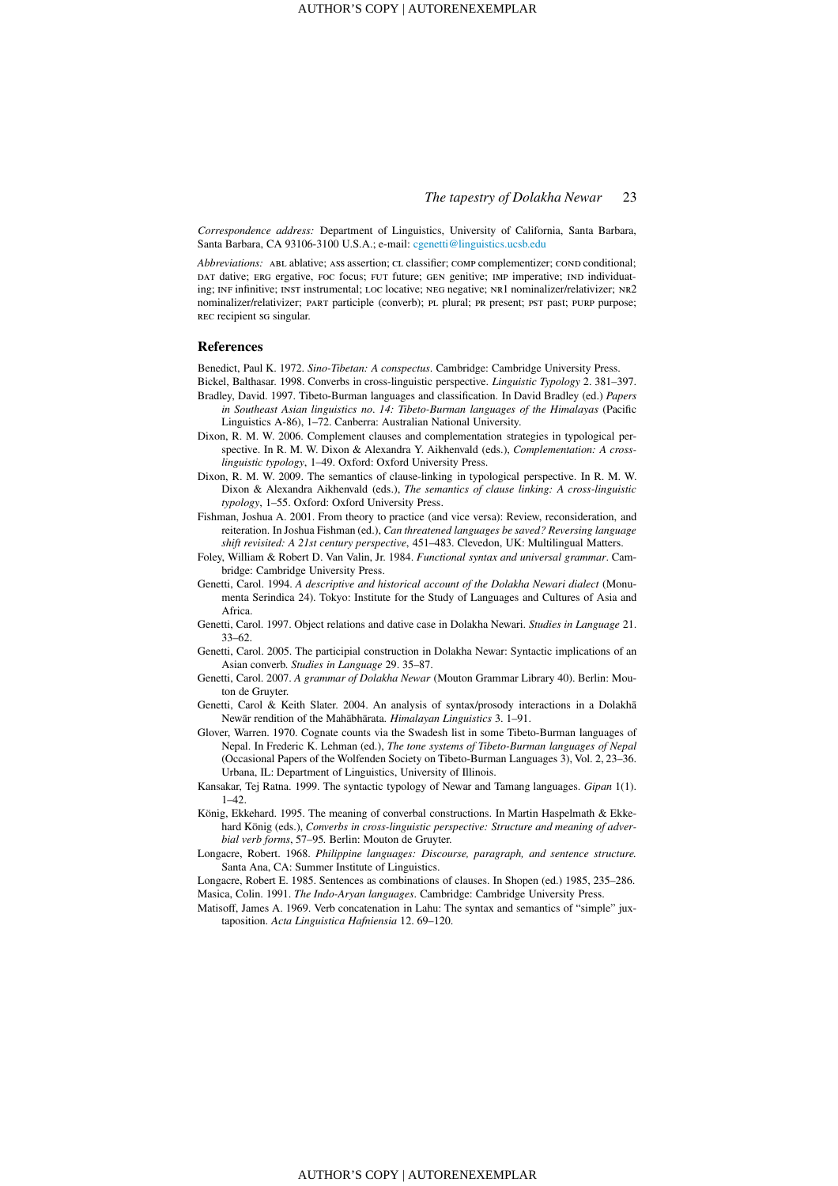*Correspondence address:* Department of Linguistics, University of California, Santa Barbara, Santa Barbara, CA 93106-3100 U.S.A.; e-mail: <cgenetti@linguistics.ucsb.edu>

*Abbreviations:* ABL ablative; ASS assertion; CL classifier; COMP complementizer; COND conditional; DAT dative; ERG ergative, FOC focus; FUT future; GEN genitive; IMP imperative; IND individuating; INF infinitive; INST instrumental; LOC locative; NEG negative; NR1 nominalizer/relativizer; NR2 nominalizer/relativizer; part participle (converb); pl plural; pr present; pst past; purp purpose; rec recipient sg singular.

#### <span id="page-18-0"></span>**References**

Benedict, Paul K. 1972. *Sino-Tibetan: A conspectus*. Cambridge: Cambridge University Press. Bickel, Balthasar. 1998. Converbs in cross-linguistic perspective. *Linguistic Typology* 2. 381–397. Bradley, David. 1997. Tibeto-Burman languages and classification. In David Bradley (ed.) *Papers*

- *in Southeast Asian linguistics no*. *14: Tibeto-Burman languages of the Himalayas* (Pacific Linguistics A-86), 1–72. Canberra: Australian National University.
- Dixon, R. M. W. 2006. Complement clauses and complementation strategies in typological perspective. In R. M. W. Dixon & Alexandra Y. Aikhenvald (eds.), *Complementation: A crosslinguistic typology*, 1–49. Oxford: Oxford University Press.
- Dixon, R. M. W. 2009. The semantics of clause-linking in typological perspective. In R. M. W. Dixon & Alexandra Aikhenvald (eds.), *The semantics of clause linking: A cross-linguistic typology*, 1–55. Oxford: Oxford University Press.
- Fishman, Joshua A. 2001. From theory to practice (and vice versa): Review, reconsideration, and reiteration. In Joshua Fishman (ed.), *Can threatened languages be saved? Reversing language shift revisited: A 21st century perspective*, 451–483. Clevedon, UK: Multilingual Matters.
- Foley, William & Robert D. Van Valin, Jr. 1984. *Functional syntax and universal grammar*. Cambridge: Cambridge University Press.
- Genetti, Carol. 1994. *A descriptive and historical account of the Dolakha Newari dialect* (Monumenta Serindica 24). Tokyo: Institute for the Study of Languages and Cultures of Asia and Africa.
- Genetti, Carol. 1997. Object relations and dative case in Dolakha Newari. *Studies in Language* 21. 33–62.
- Genetti, Carol. 2005. The participial construction in Dolakha Newar: Syntactic implications of an Asian converb. *Studies in Language* 29. 35–87.
- Genetti, Carol. 2007. *A grammar of Dolakha Newar* (Mouton Grammar Library 40). Berlin: Mouton de Gruyter.
- Genetti, Carol & Keith Slater. 2004. An analysis of syntax/prosody interactions in a Dolakha Newār rendition of the Mahābhārata. *Himalayan Linguistics* 3. 1-91.
- Glover, Warren. 1970. Cognate counts via the Swadesh list in some Tibeto-Burman languages of Nepal. In Frederic K. Lehman (ed.), *The tone systems of Tibeto-Burman languages of Nepal* (Occasional Papers of the Wolfenden Society on Tibeto-Burman Languages 3), Vol. 2, 23–36. Urbana, IL: Department of Linguistics, University of Illinois.
- Kansakar, Tej Ratna. 1999. The syntactic typology of Newar and Tamang languages. *Gipan* 1(1). 1–42.
- König, Ekkehard. 1995. The meaning of converbal constructions. In Martin Haspelmath & Ekkehard König (eds.), *Converbs in cross-linguistic perspective: Structure and meaning of adverbial verb forms*, 57–95*.* Berlin: Mouton de Gruyter.
- Longacre, Robert. 1968. *Philippine languages: Discourse, paragraph, and sentence structure.* Santa Ana, CA: Summer Institute of Linguistics.
- Longacre, Robert E. 1985. Sentences as combinations of clauses. In Shopen (ed.) 1985, 235–286. Masica, Colin. 1991. *The Indo-Aryan languages*. Cambridge: Cambridge University Press.
- Matisoff, James A. 1969. Verb concatenation in Lahu: The syntax and semantics of "simple" juxtaposition. *Acta Linguistica Hafniensia* 12. 69–120.